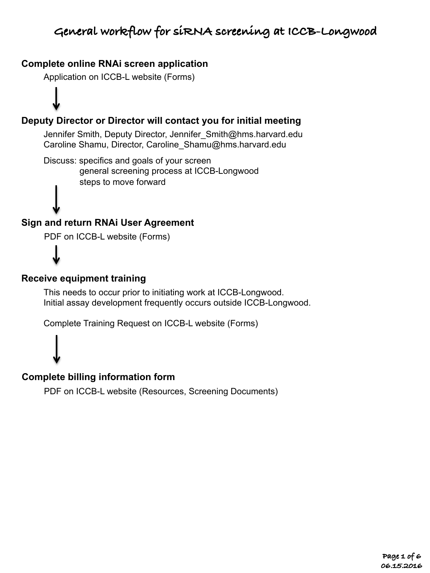# **Complete online RNAi screen application**

Application on ICCB-L website (Forms)

$$
\downarrow
$$

# **Deputy Director or Director will contact you for initial meeting**

Jennifer Smith, Deputy Director, Jennifer Smith@hms.harvard.edu Caroline Shamu, Director, Caroline\_Shamu@hms.harvard.edu

Discuss: specifics and goals of your screen general screening process at ICCB-Longwood steps to move forward

# **Sign and return RNAi User Agreement**

PDF on ICCB-L website (Forms)

# **Receive equipment training**

This needs to occur prior to initiating work at ICCB-Longwood. Initial assay development frequently occurs outside ICCB-Longwood.

Complete Training Request on ICCB-L website (Forms)



# **Complete billing information form**

PDF on ICCB-L website (Resources, Screening Documents)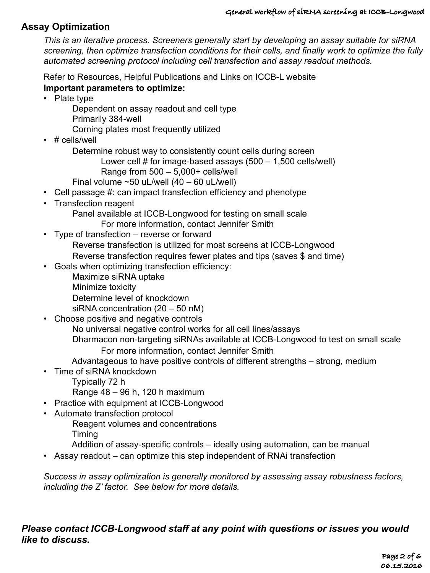#### **Assay Optimization**

*This is an iterative process. Screeners generally start by developing an assay suitable for siRNA screening, then optimize transfection conditions for their cells, and finally work to optimize the fully automated screening protocol including cell transfection and assay readout methods.* 

Refer to Resources, Helpful Publications and Links on ICCB-L website **Important parameters to optimize:** 

- Plate type
	- Dependent on assay readout and cell type
	- Primarily 384-well
		- Corning plates most frequently utilized
- # cells/well

Determine robust way to consistently count cells during screen

- Lower cell # for image-based assays (500 1,500 cells/well)
- Range from 500 5,000+ cells/well
- Final volume  $~50$  uL/well (40 60 uL/well)
- Cell passage #: can impact transfection efficiency and phenotype
- Transfection reagent
	- Panel available at ICCB-Longwood for testing on small scale For more information, contact Jennifer Smith
- Type of transfection reverse or forward Reverse transfection is utilized for most screens at ICCB-Longwood
	- Reverse transfection requires fewer plates and tips (saves \$ and time)
- Goals when optimizing transfection efficiency:
	- Maximize siRNA uptake
	- Minimize toxicity
	- Determine level of knockdown
	- siRNA concentration (20 50 nM)
- Choose positive and negative controls
	- No universal negative control works for all cell lines/assays
	- Dharmacon non-targeting siRNAs available at ICCB-Longwood to test on small scale For more information, contact Jennifer Smith
	- Advantageous to have positive controls of different strengths strong, medium
- Time of siRNA knockdown
	- Typically 72 h
	- Range 48 96 h, 120 h maximum
- Practice with equipment at ICCB-Longwood
- Automate transfection protocol
	- Reagent volumes and concentrations
		- Timing
		- Addition of assay-specific controls ideally using automation, can be manual
- Assay readout can optimize this step independent of RNAi transfection

*Success in assay optimization is generally monitored by assessing assay robustness factors, including the Z' factor. See below for more details.* 

#### *Please contact ICCB-Longwood staff at any point with questions or issues you would like to discuss.*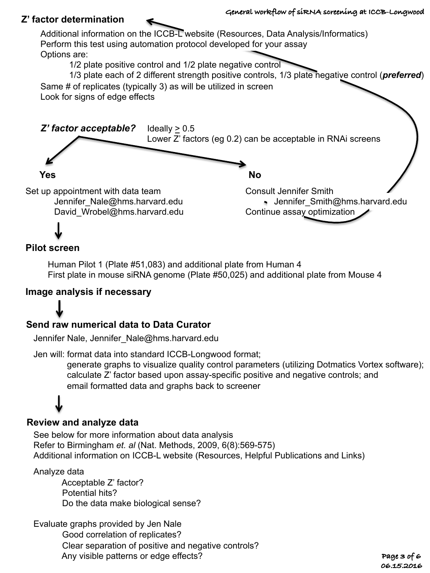Additional information on the ICCB-L website (Resources, Data Analysis/Informatics) Perform this test using automation protocol developed for your assay Options are:

1/2 plate positive control and 1/2 plate negative control

1/3 plate each of 2 different strength positive controls, 1/3 plate negative control (*preferred*) Same # of replicates (typically 3) as will be utilized in screen Look for signs of edge effects



# **Pilot screen**

Human Pilot 1 (Plate #51,083) and additional plate from Human 4 First plate in mouse siRNA genome (Plate #50,025) and additional plate from Mouse 4

#### **Image analysis if necessary**

# **Send raw numerical data to Data Curator**

Jennifer Nale, Jennifer\_Nale@hms.harvard.edu

Jen will: format data into standard ICCB-Longwood format; generate graphs to visualize quality control parameters (utilizing Dotmatics Vortex software); calculate Z' factor based upon assay-specific positive and negative controls; and email formatted data and graphs back to screener

## **Review and analyze data**

See below for more information about data analysis Refer to Birmingham *et. al* (Nat. Methods, 2009, 6(8):569-575) Additional information on ICCB-L website (Resources, Helpful Publications and Links)

Analyze data

Acceptable Z' factor? Potential hits? Do the data make biological sense?

Evaluate graphs provided by Jen Nale Good correlation of replicates? Clear separation of positive and negative controls? Any visible patterns or edge effects?

**Page 3 of 6 06.15.2016**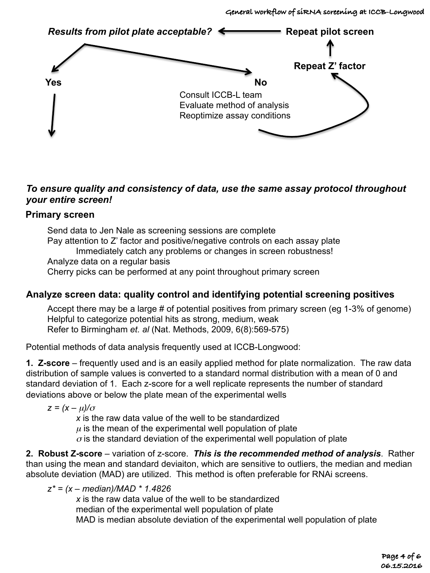

## *To ensure quality and consistency of data, use the same assay protocol throughout your entire screen!*

#### **Primary screen**

Send data to Jen Nale as screening sessions are complete Pay attention to Z' factor and positive/negative controls on each assay plate Immediately catch any problems or changes in screen robustness! Analyze data on a regular basis Cherry picks can be performed at any point throughout primary screen

# **Analyze screen data: quality control and identifying potential screening positives**

Accept there may be a large # of potential positives from primary screen (eg 1-3% of genome) Helpful to categorize potential hits as strong, medium, weak Refer to Birmingham *et. al* (Nat. Methods, 2009, 6(8):569-575)

Potential methods of data analysis frequently used at ICCB-Longwood:

**1. Z-score** – frequently used and is an easily applied method for plate normalization. The raw data distribution of sample values is converted to a standard normal distribution with a mean of 0 and standard deviation of 1. Each z-score for a well replicate represents the number of standard deviations above or below the plate mean of the experimental wells

 $z = (x - u)/\sigma$ 

*x* is the raw data value of the well to be standardized

 $\mu$  is the mean of the experimental well population of plate

 $\sigma$  is the standard deviation of the experimental well population of plate

**2. Robust Z-score** – variation of z-score. *This is the recommended method of analysis*. Rather than using the mean and standard deviaiton, which are sensitive to outliers, the median and median absolute deviation (MAD) are utilized. This method is often preferable for RNAi screens.

*z\* = (x – median)/MAD \* 1.4826*

*x* is the raw data value of the well to be standardized median of the experimental well population of plate MAD is median absolute deviation of the experimental well population of plate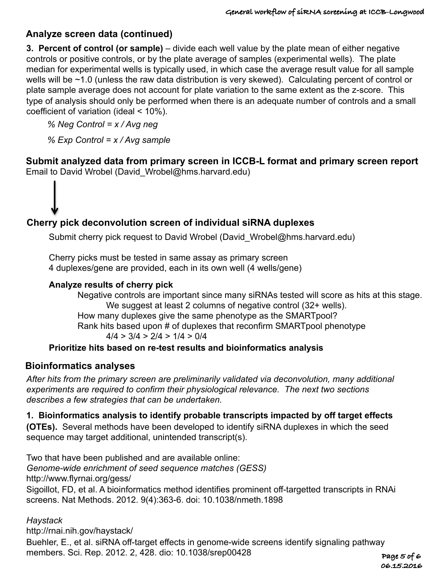# **Analyze screen data (continued)**

**3. Percent of control (or sample)** – divide each well value by the plate mean of either negative controls or positive controls, or by the plate average of samples (experimental wells). The plate median for experimental wells is typically used, in which case the average result value for all sample wells will be ~1.0 (unless the raw data distribution is very skewed). Calculating percent of control or plate sample average does not account for plate variation to the same extent as the z-score. This type of analysis should only be performed when there is an adequate number of controls and a small coefficient of variation (ideal < 10%).

*% Neg Control = x / Avg neg*

*% Exp Control = x / Avg sample*

**Submit analyzed data from primary screen in ICCB-L format and primary screen report**  Email to David Wrobel (David\_Wrobel@hms.harvard.edu)

# **Cherry pick deconvolution screen of individual siRNA duplexes**

Submit cherry pick request to David Wrobel (David Wrobel@hms.harvard.edu)

Cherry picks must be tested in same assay as primary screen 4 duplexes/gene are provided, each in its own well (4 wells/gene)

#### **Analyze results of cherry pick**

Negative controls are important since many siRNAs tested will score as hits at this stage. We suggest at least 2 columns of negative control (32+ wells). How many duplexes give the same phenotype as the SMARTpool? Rank hits based upon # of duplexes that reconfirm SMARTpool phenotype  $4/4$  >  $3/4$  >  $2/4$  >  $1/4$  >  $0/4$ 

#### **Prioritize hits based on re-test results and bioinformatics analysis**

#### **Bioinformatics analyses**

*After hits from the primary screen are preliminarily validated via deconvolution, many additional experiments are required to confirm their physiological relevance. The next two sections describes a few strategies that can be undertaken.* 

# **1. Bioinformatics analysis to identify probable transcripts impacted by off target effects**

**(OTEs).** Several methods have been developed to identify siRNA duplexes in which the seed sequence may target additional, unintended transcript(s).

Two that have been published and are available online: *Genome-wide enrichment of seed sequence matches (GESS)*  http://www.flyrnai.org/gess/ Sigoillot, FD, et al. A bioinformatics method identifies prominent off-targetted transcripts in RNAi screens. Nat Methods. 2012. 9(4):363-6. doi: 10.1038/nmeth.1898

#### *Haystack*

http://rnai.nih.gov/haystack/ Buehler, E., et al. siRNA off-target effects in genome-wide screens identify signaling pathway members. Sci. Rep. 2012. 2, 428. dio: 10.1038/srep00428 **Page 5 of 6** 

**06.15.2016**